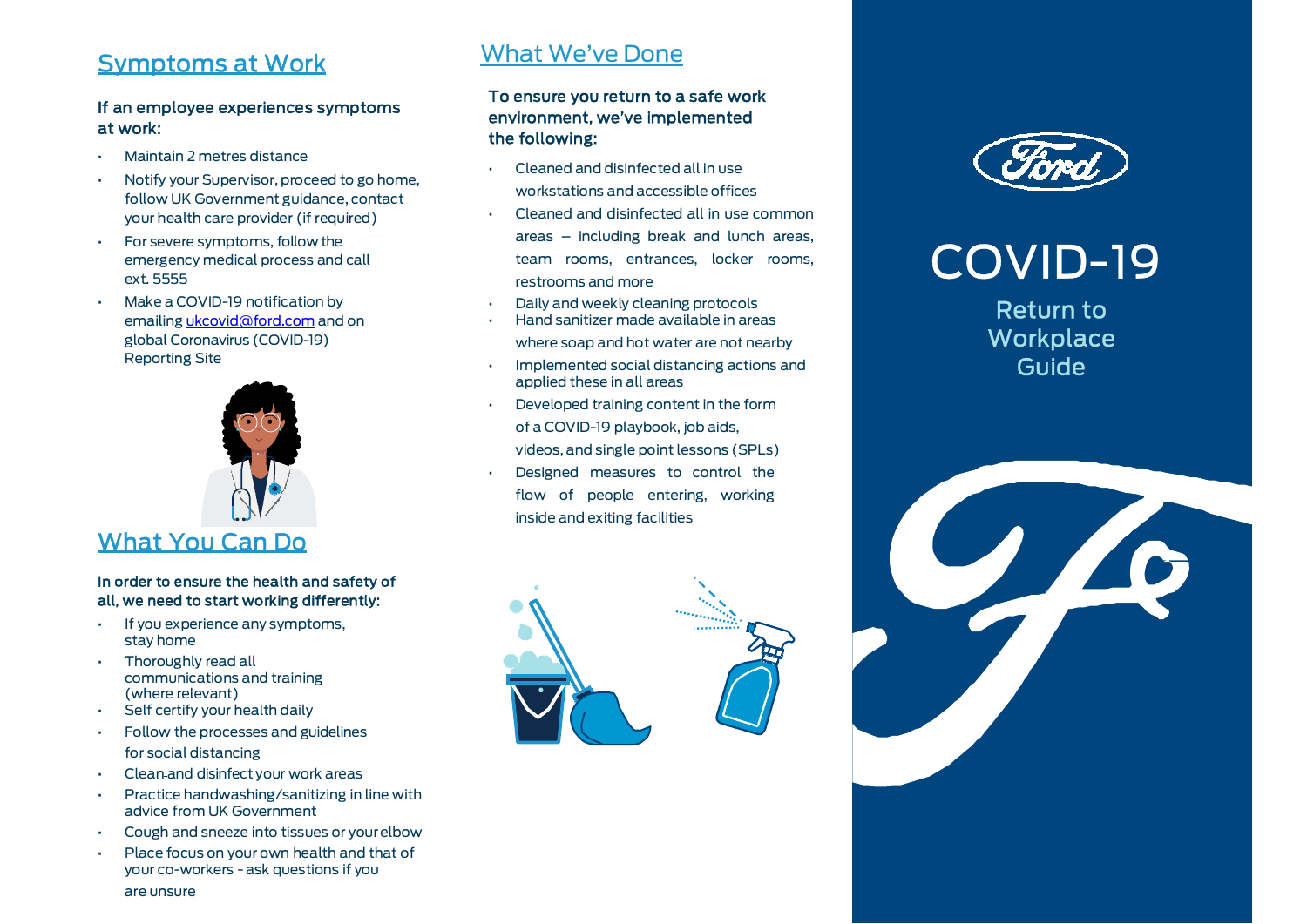#### Symptoms at Work

#### If an employee experiences symptoms at work:

- Maintain 2 metres distance
- Notify your Supervisor, proceed to go home, follow UK Government guidance, contact your health care provider (if required)
- For severe symptoms, follow the emergency medical process and call ext. 5555
- Make a COVID-19 notification by emailing *ukcovid@ford.com* and on global Coronavirus (COVID-19) Reporting Site



#### What You Can Do

#### In order to ensure the health and safety of all, we need to start working differently: •

- If you experience any symptoms, stay home
- Thoroughly read all communications and training (where relevant)
- Self certify your health daily
- Follow the processes and guidelines •for social distancing
- Clean and disinfect your work areas•
- • Practice handwashing/sanitizing in line with advice from UK Government
- •Cough and sneeze into tissues or your elbow
- Place focus on your own health and that of your co-workers - ask questions if you

#### What We've Done

#### To ensure you return to a safe work environment, we've implemented the following:

- • Cleaned and disinfected all in use workstations and accessible offices
- • Cleaned and disinfected all in use common areas – including break and lunch areas, team rooms, entrances, locker rooms, restrooms and more
- Daily and weekly cleaning protocols
- Hand sanitizer made available in areas where soap and hot water are not nearby
- Implemented social distancing actions and applied these in all areas
- Developed training content in the form of a COVID-19 playbook, job aids, videos, and single point lessons (SPLs)
- Designed measures to control the flow of people entering, working inside and exiting facilities





## COVID-19

Return to **Workplace** Guide



are unsure